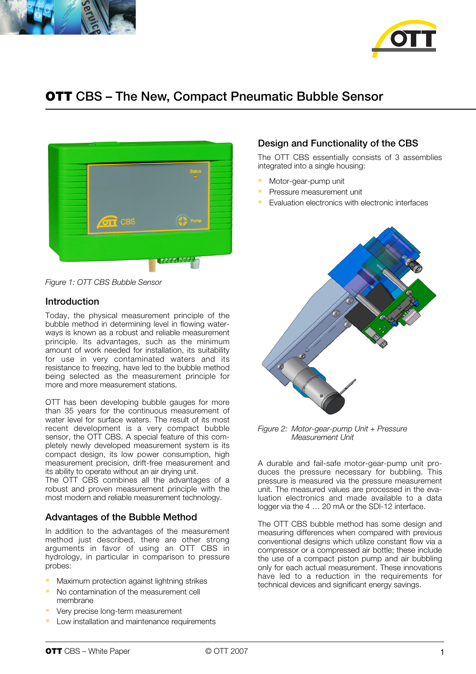



# **OTT** CBS – The New, Compact Pneumatic Bubble Sensor



*Figure 1: OTT CBS Bubble Sensor*

#### Introduction

Today, the physical measurement principle of the bubble method in determining level in flowing waterways is known as a robust and reliable measurement principle. Its advantages, such as the minimum amount of work needed for installation, its suitability for use in very contaminated waters and its resistance to freezing, have led to the bubble method being selected as the measurement principle for more and more measurement stations.

OTT has been developing bubble gauges for more than 35 years for the continuous measurement of water level for surface waters. The result of its most recent development is a very compact bubble sensor, the OTT CBS. A special feature of this completely newly developed measurement system is its compact design, its low power consumption, high measurement precision, drift-free measurement and its ability to operate without an air drying unit.

The OTT CBS combines all the advantages of a robust and proven measurement principle with the most modern and reliable measurement technology.

# Advantages of the Bubble Method

In addition to the advantages of the measurement method just described, there are other strong arguments in favor of using an OTT CBS in hydrology, in particular in comparison to pressure probes:

- Maximum protection against lightning strikes
- No contamination of the measurement cell membrane
- Very precise long-term measurement
- Low installation and maintenance requirements

# Design and Functionality of the CBS

The OTT CBS essentially consists of 3 assemblies integrated into a single housing:

- Motor-gear-pump unit
- Pressure measurement unit
- Evaluation electronics with electronic interfaces



*Figure 2: Motor-gear-pump Unit + Pressure Measurement Unit*

A durable and fail-safe motor-gear-pump unit produces the pressure necessary for bubbling. This pressure is measured via the pressure measurement unit. The measured values are processed in the evaluation electronics and made available to a data logger via the 4 … 20 mA or the SDI-12 interface.

The OTT CBS bubble method has some design and measuring differences when compared with previous conventional designs which utilize constant flow via a compressor or a compressed air bottle; these include the use of a compact piston pump and air bubbling only for each actual measurement. These innovations have led to a reduction in the requirements for technical devices and significant energy savings.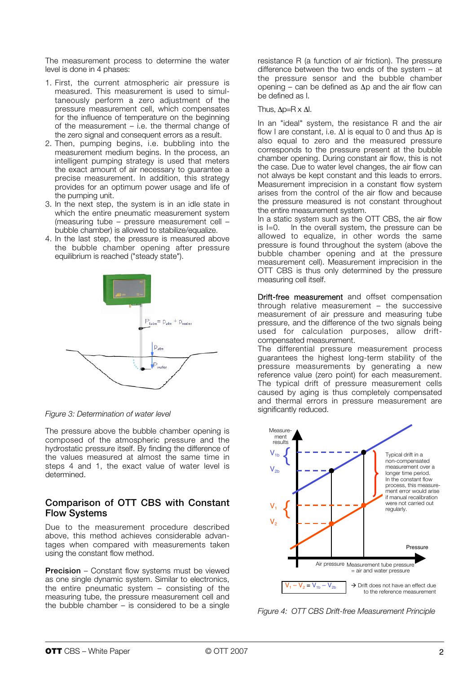The measurement process to determine the water level is done in 4 phases:

- 1. First, the current atmospheric air pressure is measured. This measurement is used to simultaneously perform a zero adjustment of the pressure measurement cell, which compensates for the influence of temperature on the beginning of the measurement – i.e. the thermal change of the zero signal and consequent errors as a result.
- 2. Then, pumping begins, i.e. bubbling into the measurement medium begins. In the process, an intelligent pumping strategy is used that meters the exact amount of air necessary to guarantee a precise measurement. In addition, this strategy provides for an optimum power usage and life of the pumping unit.
- 3. In the next step, the system is in an idle state in which the entire pneumatic measurement system (measuring tube – pressure measurement cell – bubble chamber) is allowed to stabilize/equalize.
- 4. In the last step, the pressure is measured above the bubble chamber opening after pressure equilibrium is reached ("steady state").



*Figure 3: Determination of water level*

The pressure above the bubble chamber opening is composed of the atmospheric pressure and the hydrostatic pressure itself. By finding the difference of the values measured at almost the same time in steps 4 and 1, the exact value of water level is determined.

#### Comparison of OTT CBS with Constant Flow Systems

Due to the measurement procedure described above, this method achieves considerable advantages when compared with measurements taken using the constant flow method.

**Precision** – Constant flow systems must be viewed as one single dynamic system. Similar to electronics, the entire pneumatic system – consisting of the measuring tube, the pressure measurement cell and the bubble chamber – is considered to be a single

resistance R (a function of air friction). The pressure difference between the two ends of the system – at the pressure sensor and the bubble chamber opening – can be defined as  $\Delta p$  and the air flow can be defined as I.

#### Thus,  $\Delta p = R \times \Delta l$ .

In an "ideal" system, the resistance R and the air flow I are constant, i.e.  $\Delta I$  is equal to 0 and thus  $\Delta p$  is also equal to zero and the measured pressure corresponds to the pressure present at the bubble chamber opening. During constant air flow, this is not the case. Due to water level changes, the air flow can not always be kept constant and this leads to errors. Measurement imprecision in a constant flow system arises from the control of the air flow and because the pressure measured is not constant throughout the entire measurement system.

In a static system such as the OTT CBS, the air flow<br>is  $I=0$  In the overall system the pressure can be In the overall system, the pressure can be allowed to equalize, in other words the same pressure is found throughout the system (above the bubble chamber opening and at the pressure measurement cell). Measurement imprecision in the OTT CBS is thus only determined by the pressure measuring cell itself.

Drift-free measurement and offset compensation through relative measurement – the successive measurement of air pressure and measuring tube pressure, and the difference of the two signals being used for calculation purposes, allow driftcompensated measurement.

The differential pressure measurement process guarantees the highest long-term stability of the pressure measurements by generating a new reference value (zero point) for each measurement. The typical drift of pressure measurement cells caused by aging is thus completely compensated and thermal errors in pressure measurement are significantly reduced.



*Figure 4: OTT CBS Drift-free Measurement Principle*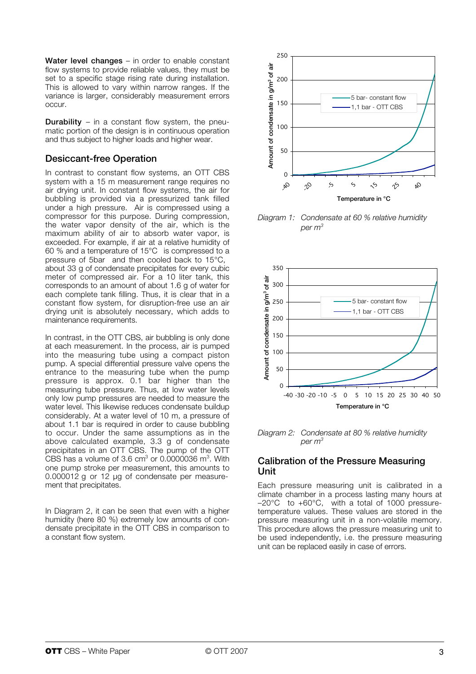Water level changes – in order to enable constant flow systems to provide reliable values, they must be set to a specific stage rising rate during installation. This is allowed to vary within narrow ranges. If the variance is larger, considerably measurement errors occur.

**Durability** – in a constant flow system, the pneumatic portion of the design is in continuous operation and thus subject to higher loads and higher wear.

# Desiccant-free Operation

In contrast to constant flow systems, an OTT CBS system with a 15 m measurement range requires no air drying unit. In constant flow systems, the air for bubbling is provided via a pressurized tank filled under a high pressure. Air is compressed using a compressor for this purpose. During compression, the water vapor density of the air, which is the maximum ability of air to absorb water vapor, is exceeded. For example, if air at a relative humidity of 60 % and a temperature of 15 °C is compressed to a pressure of 5 bar and then cooled back to 15°C, about 33 g of condensate precipitates for every cubic meter of compressed air. For a 10 liter tank, this corresponds to an amount of about 1.6 g of water for each complete tank filling. Thus, it is clear that in a constant flow system, for disruption-free use an air drying unit is absolutely necessary, which adds to maintenance requirements.

In contrast, in the OTT CBS, air bubbling is only done at each measurement. In the process, air is pumped into the measuring tube using a compact piston pump. A special differential pressure valve opens the entrance to the measuring tube when the pump pressure is approx. 0.1 bar higher than the measuring tube pressure. Thus, at low water levels only low pump pressures are needed to measure the water level. This likewise reduces condensate buildup considerably. At a water level of 10 m, a pressure of about 1.1 bar is required in order to cause bubbling to occur. Under the same assumptions as in the above calculated example, 3.3 g of condensate precipitates in an OTT CBS. The pump of the OTT CBS has a volume of 3.6  $cm<sup>3</sup>$  or 0.0000036  $m<sup>3</sup>$ . With one pump stroke per measurement, this amounts to 0.000012 g or 12 µg of condensate per measurement that precipitates.

In Diagram 2, it can be seen that even with a higher humidity (here 80 %) extremely low amounts of condensate precipitate in the OTT CBS in comparison to a constant flow system.



*Diagram 1: Condensate at 60 % relative humidity per m3*



*Diagram 2: Condensate at 80 % relative humidity per m3*

#### Calibration of the Pressure Measuring Unit

Each pressure measuring unit is calibrated in a climate chamber in a process lasting many hours at  $-20^{\circ}$ C to  $+60^{\circ}$ C, with a total of 1000 pressuretemperature values. These values are stored in the pressure measuring unit in a non-volatile memory. This procedure allows the pressure measuring unit to be used independently, i.e. the pressure measuring unit can be replaced easily in case of errors.